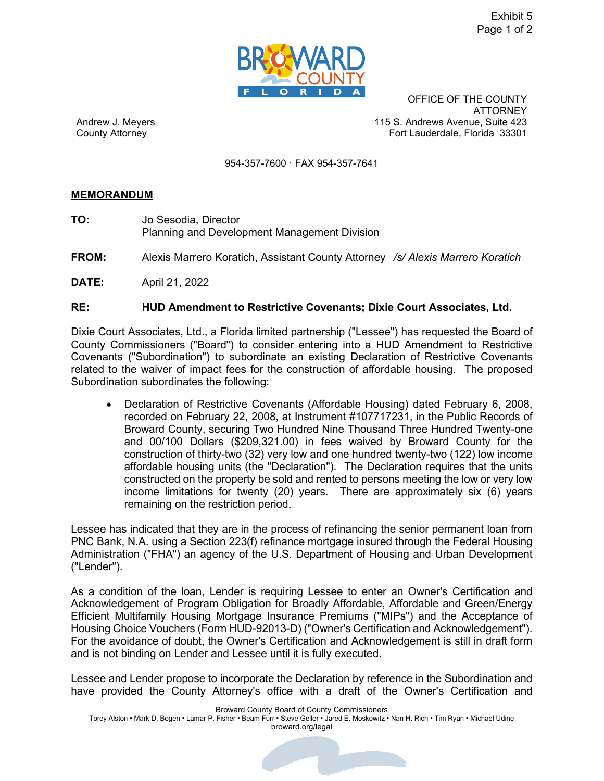

OFFICE OF THE COUNTY ATTORNEY Andrew J. Meyers 115 S. Andrews Avenue, Suite 423 County Attorney Fort Lauderdale, Florida 33301

954-357-7600 · FAX 954-357-7641

## **MEMORANDUM**

- **TO:** Jo Sesodia, Director Planning and Development Management Division
- **FROM:** Alexis Marrero Koratich, Assistant County Attorney */s/ Alexis Marrero Koratich*
- **DATE:** April 21, 2022

## **RE: HUD Amendment to Restrictive Covenants; Dixie Court Associates, Ltd.**

Dixie Court Associates, Ltd., a Florida limited partnership ("Lessee") has requested the Board of County Commissioners ("Board") to consider entering into a HUD Amendment to Restrictive Covenants ("Subordination") to subordinate an existing Declaration of Restrictive Covenants related to the waiver of impact fees for the construction of affordable housing. The proposed Subordination subordinates the following:

• Declaration of Restrictive Covenants (Affordable Housing) dated February 6, 2008, recorded on February 22, 2008, at Instrument #107717231, in the Public Records of Broward County, securing Two Hundred Nine Thousand Three Hundred Twenty-one and 00/100 Dollars (\$[209,321.00\)](https://209,321.00) in fees waived by Broward County for the construction of thirty-two (32) very low and one hundred twenty-two (122) low income affordable housing units (the "Declaration"). The Declaration requires that the units constructed on the property be sold and rented to persons meeting the low or very low income limitations for twenty (20) years. There are approximately six (6) years remaining on the restriction period.

Lessee has indicated that they are in the process of refinancing the senior permanent loan from PNC Bank, N.A. using a Section 223(f) refinance mortgage insured through the Federal Housing Administration ("FHA") an agency of the U.S. Department of Housing and Urban Development ("Lender").

As a condition of the loan, Lender is requiring Lessee to enter an Owner's Certification and Acknowledgement of Program Obligation for Broadly Affordable, Affordable and Green/Energy Efficient Multifamily Housing Mortgage Insurance Premiums ("MIPs") and the Acceptance of Housing Choice Vouchers (Form HUD-92013-D) ("Owner's Certification and Acknowledgement"). For the avoidance of doubt, the Owner's Certification and Acknowledgement is still in draft form and is not binding on Lender and Lessee until it is fully executed.

Lessee and Lender propose to incorporate the Declaration by reference in the Subordination and have provided the County Attorney's office with a draft of the Owner's Certification and